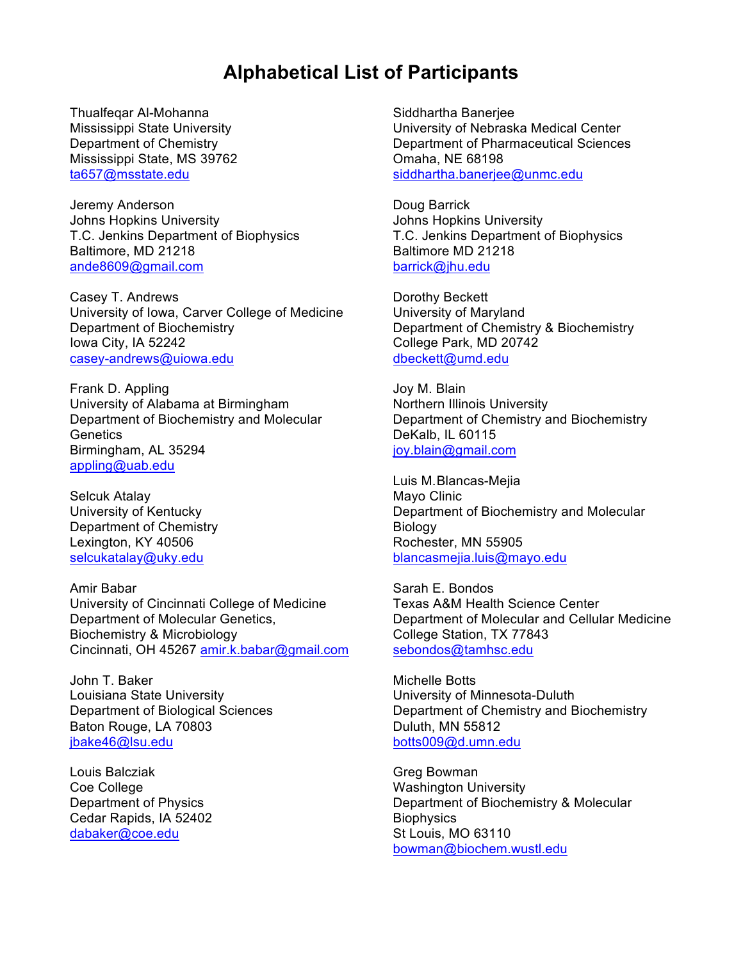## **Alphabetical List of Participants**

Thualfeqar Al-Mohanna Mississippi State University Department of Chemistry Mississippi State, MS 39762 ta657@msstate.edu

Jeremy Anderson Johns Hopkins University T.C. Jenkins Department of Biophysics Baltimore, MD 21218 ande8609@gmail.com

Casey T. Andrews University of Iowa, Carver College of Medicine Department of Biochemistry Iowa City, IA 52242 casey-andrews@uiowa.edu

Frank D. Appling University of Alabama at Birmingham Department of Biochemistry and Molecular **Genetics** Birmingham, AL 35294 appling@uab.edu

Selcuk Atalay University of Kentucky Department of Chemistry Lexington, KY 40506 selcukatalay@uky.edu

Amir Babar University of Cincinnati College of Medicine Department of Molecular Genetics, Biochemistry & Microbiology Cincinnati, OH 45267 amir.k.babar@gmail.com

John T. Baker Louisiana State University Department of Biological Sciences Baton Rouge, LA 70803 jbake46@lsu.edu

Louis Balcziak Coe College Department of Physics Cedar Rapids, IA 52402 dabaker@coe.edu

Siddhartha Banerjee University of Nebraska Medical Center Department of Pharmaceutical Sciences Omaha, NE 68198 siddhartha.banerjee@unmc.edu

Doug Barrick Johns Hopkins University T.C. Jenkins Department of Biophysics Baltimore MD 21218 barrick@jhu.edu

Dorothy Beckett University of Maryland Department of Chemistry & Biochemistry College Park, MD 20742 dbeckett@umd.edu

Joy M. Blain Northern Illinois University Department of Chemistry and Biochemistry DeKalb, IL 60115 joy.blain@gmail.com

Luis M.Blancas-Mejia Mayo Clinic Department of Biochemistry and Molecular Biology Rochester, MN 55905 blancasmejia.luis@mayo.edu

Sarah E. Bondos Texas A&M Health Science Center Department of Molecular and Cellular Medicine College Station, TX 77843 sebondos@tamhsc.edu

Michelle Botts University of Minnesota-Duluth Department of Chemistry and Biochemistry Duluth, MN 55812 botts009@d.umn.edu

Greg Bowman Washington University Department of Biochemistry & Molecular **Biophysics** St Louis, MO 63110 bowman@biochem.wustl.edu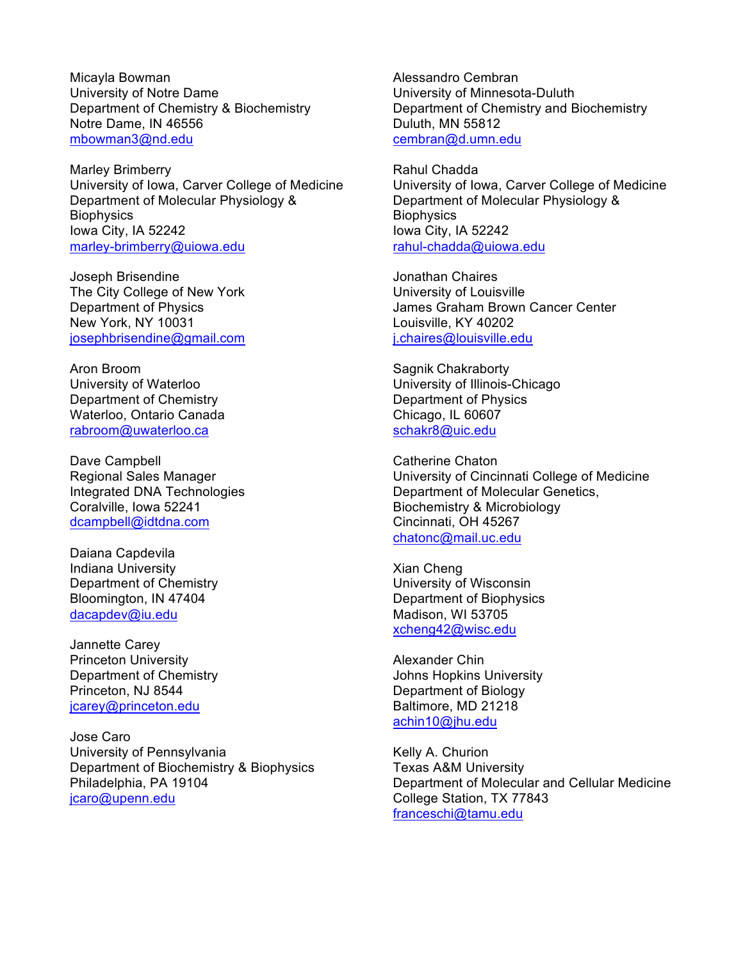Micayla Bowman University of Notre Dame Department of Chemistry & Biochemistry Notre Dame, IN 46556 mbowman3@nd.edu

Marley Brimberry University of Iowa, Carver College of Medicine Department of Molecular Physiology & **Biophysics** Iowa City, IA 52242 marley-brimberry@uiowa.edu

Joseph Brisendine The City College of New York Department of Physics New York, NY 10031 josephbrisendine@gmail.com

Aron Broom University of Waterloo Department of Chemistry Waterloo, Ontario Canada rabroom@uwaterloo.ca

Dave Campbell Regional Sales Manager Integrated DNA Technologies Coralville, Iowa 52241 dcampbell@idtdna.com

Daiana Capdevila Indiana University Department of Chemistry Bloomington, IN 47404 dacapdev@iu.edu

Jannette Carey Princeton University Department of Chemistry Princeton, NJ 8544 jcarey@princeton.edu

Jose Caro University of Pennsylvania Department of Biochemistry & Biophysics Philadelphia, PA 19104 jcaro@upenn.edu

Alessandro Cembran University of Minnesota-Duluth Department of Chemistry and Biochemistry Duluth, MN 55812 cembran@d.umn.edu

Rahul Chadda University of Iowa, Carver College of Medicine Department of Molecular Physiology & **Biophysics** Iowa City, IA 52242 rahul-chadda@uiowa.edu

Jonathan Chaires University of Louisville James Graham Brown Cancer Center Louisville, KY 40202 j.chaires@louisville.edu

Sagnik Chakraborty University of Illinois-Chicago Department of Physics Chicago, IL 60607 schakr8@uic.edu

Catherine Chaton University of Cincinnati College of Medicine Department of Molecular Genetics, Biochemistry & Microbiology Cincinnati, OH 45267 chatonc@mail.uc.edu

Xian Cheng University of Wisconsin Department of Biophysics Madison, WI 53705 xcheng42@wisc.edu

Alexander Chin Johns Hopkins University Department of Biology Baltimore, MD 21218 achin10@jhu.edu

Kelly A. Churion Texas A&M University Department of Molecular and Cellular Medicine College Station, TX 77843 franceschi@tamu.edu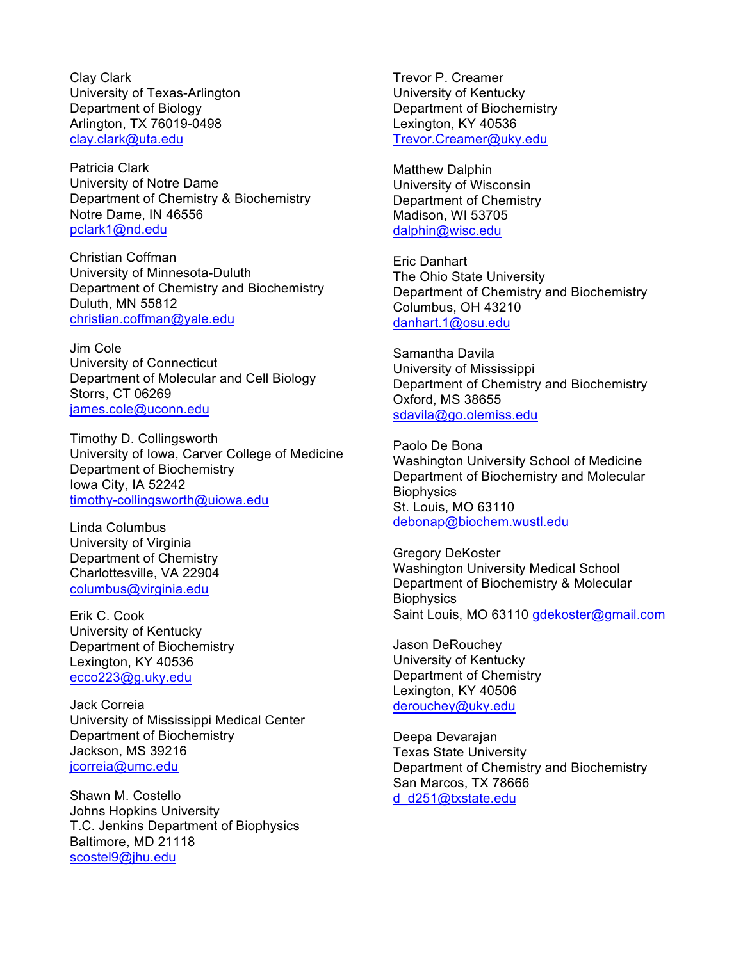Clay Clark University of Texas-Arlington Department of Biology Arlington, TX 76019-0498 clay.clark@uta.edu

Patricia Clark University of Notre Dame Department of Chemistry & Biochemistry Notre Dame, IN 46556 pclark1@nd.edu

Christian Coffman University of Minnesota-Duluth Department of Chemistry and Biochemistry Duluth, MN 55812 christian.coffman@yale.edu

Jim Cole University of Connecticut Department of Molecular and Cell Biology Storrs, CT 06269 james.cole@uconn.edu

Timothy D. Collingsworth University of Iowa, Carver College of Medicine Department of Biochemistry Iowa City, IA 52242 timothy-collingsworth@uiowa.edu

Linda Columbus University of Virginia Department of Chemistry Charlottesville, VA 22904 columbus@virginia.edu

Erik C. Cook University of Kentucky Department of Biochemistry Lexington, KY 40536 ecco223@g.uky.edu

Jack Correia University of Mississippi Medical Center Department of Biochemistry Jackson, MS 39216 jcorreia@umc.edu

Shawn M. Costello Johns Hopkins University T.C. Jenkins Department of Biophysics Baltimore, MD 21118 scostel9@jhu.edu

Trevor P. Creamer University of Kentucky Department of Biochemistry Lexington, KY 40536 Trevor.Creamer@uky.edu

Matthew Dalphin University of Wisconsin Department of Chemistry Madison, WI 53705 dalphin@wisc.edu

Eric Danhart The Ohio State University Department of Chemistry and Biochemistry Columbus, OH 43210 danhart.1@osu.edu

Samantha Davila University of Mississippi Department of Chemistry and Biochemistry Oxford, MS 38655 sdavila@go.olemiss.edu

Paolo De Bona Washington University School of Medicine Department of Biochemistry and Molecular **Biophysics** St. Louis, MO 63110 debonap@biochem.wustl.edu

Gregory DeKoster Washington University Medical School Department of Biochemistry & Molecular **Biophysics** Saint Louis, MO 63110 gdekoster@gmail.com

Jason DeRouchey University of Kentucky Department of Chemistry Lexington, KY 40506 derouchey@uky.edu

Deepa Devarajan Texas State University Department of Chemistry and Biochemistry San Marcos, TX 78666 d\_d251@txstate.edu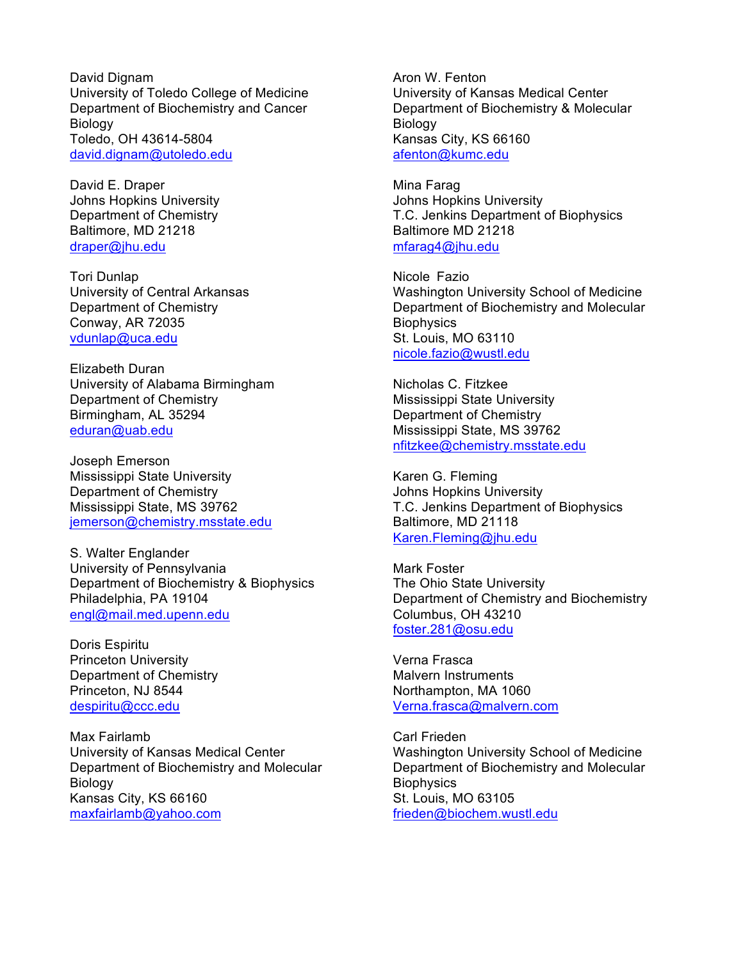David Dignam University of Toledo College of Medicine Department of Biochemistry and Cancer **Biology** Toledo, OH 43614-5804 david.dignam@utoledo.edu

David E. Draper Johns Hopkins University Department of Chemistry Baltimore, MD 21218 draper@jhu.edu

Tori Dunlap University of Central Arkansas Department of Chemistry Conway, AR 72035 vdunlap@uca.edu

Elizabeth Duran University of Alabama Birmingham Department of Chemistry Birmingham, AL 35294 eduran@uab.edu

Joseph Emerson Mississippi State University Department of Chemistry Mississippi State, MS 39762 jemerson@chemistry.msstate.edu

S. Walter Englander University of Pennsylvania Department of Biochemistry & Biophysics Philadelphia, PA 19104 engl@mail.med.upenn.edu

Doris Espiritu Princeton University Department of Chemistry Princeton, NJ 8544 despiritu@ccc.edu

Max Fairlamb University of Kansas Medical Center Department of Biochemistry and Molecular **Biology** Kansas City, KS 66160 maxfairlamb@yahoo.com

Aron W. Fenton University of Kansas Medical Center Department of Biochemistry & Molecular **Biology** Kansas City, KS 66160 afenton@kumc.edu

Mina Farag Johns Hopkins University T.C. Jenkins Department of Biophysics Baltimore MD 21218 mfarag4@jhu.edu

Nicole Fazio Washington University School of Medicine Department of Biochemistry and Molecular **Biophysics** St. Louis, MO 63110 nicole.fazio@wustl.edu

Nicholas C. Fitzkee Mississippi State University Department of Chemistry Mississippi State, MS 39762 nfitzkee@chemistry.msstate.edu

Karen G. Fleming Johns Hopkins University T.C. Jenkins Department of Biophysics Baltimore, MD 21118 Karen.Fleming@jhu.edu

Mark Foster The Ohio State University Department of Chemistry and Biochemistry Columbus, OH 43210 foster.281@osu.edu

Verna Frasca Malvern Instruments Northampton, MA 1060 Verna.frasca@malvern.com

Carl Frieden Washington University School of Medicine Department of Biochemistry and Molecular **Biophysics** St. Louis, MO 63105 frieden@biochem.wustl.edu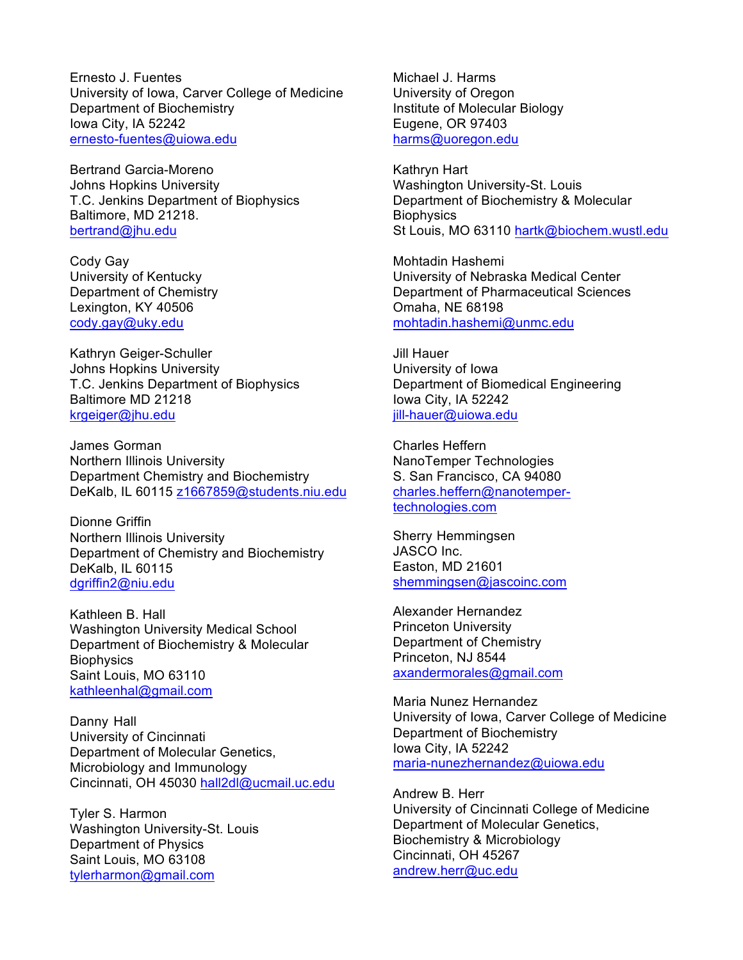Ernesto J. Fuentes University of Iowa, Carver College of Medicine Department of Biochemistry Iowa City, IA 52242 ernesto-fuentes@uiowa.edu

Bertrand Garcia-Moreno Johns Hopkins University T.C. Jenkins Department of Biophysics Baltimore, MD 21218. bertrand@jhu.edu

Cody Gay University of Kentucky Department of Chemistry Lexington, KY 40506 cody.gay@uky.edu

Kathryn Geiger-Schuller Johns Hopkins University T.C. Jenkins Department of Biophysics Baltimore MD 21218 krgeiger@jhu.edu

James Gorman Northern Illinois University Department Chemistry and Biochemistry DeKalb, IL 60115 z1667859@students.niu.edu

Dionne Griffin Northern Illinois University Department of Chemistry and Biochemistry DeKalb, IL 60115 dgriffin2@niu.edu

Kathleen B. Hall Washington University Medical School Department of Biochemistry & Molecular **Biophysics** Saint Louis, MO 63110 kathleenhal@gmail.com

Danny Hall University of Cincinnati Department of Molecular Genetics, Microbiology and Immunology Cincinnati, OH 45030 hall2dl@ucmail.uc.edu

Tyler S. Harmon Washington University-St. Louis Department of Physics Saint Louis, MO 63108 tylerharmon@gmail.com

Michael J. Harms University of Oregon Institute of Molecular Biology Eugene, OR 97403 harms@uoregon.edu

Kathryn Hart Washington University-St. Louis Department of Biochemistry & Molecular **Biophysics** St Louis, MO 63110 hartk@biochem.wustl.edu

Mohtadin Hashemi University of Nebraska Medical Center Department of Pharmaceutical Sciences Omaha, NE 68198 mohtadin.hashemi@unmc.edu

Jill Hauer University of Iowa Department of Biomedical Engineering Iowa City, IA 52242 jill-hauer@uiowa.edu

Charles Heffern NanoTemper Technologies S. San Francisco, CA 94080 charles.heffern@nanotempertechnologies.com

Sherry Hemmingsen JASCO Inc. Easton, MD 21601 shemmingsen@jascoinc.com

Alexander Hernandez Princeton University Department of Chemistry Princeton, NJ 8544 axandermorales@gmail.com

Maria Nunez Hernandez University of Iowa, Carver College of Medicine Department of Biochemistry Iowa City, IA 52242 maria-nunezhernandez@uiowa.edu

Andrew B. Herr University of Cincinnati College of Medicine Department of Molecular Genetics, Biochemistry & Microbiology Cincinnati, OH 45267 andrew.herr@uc.edu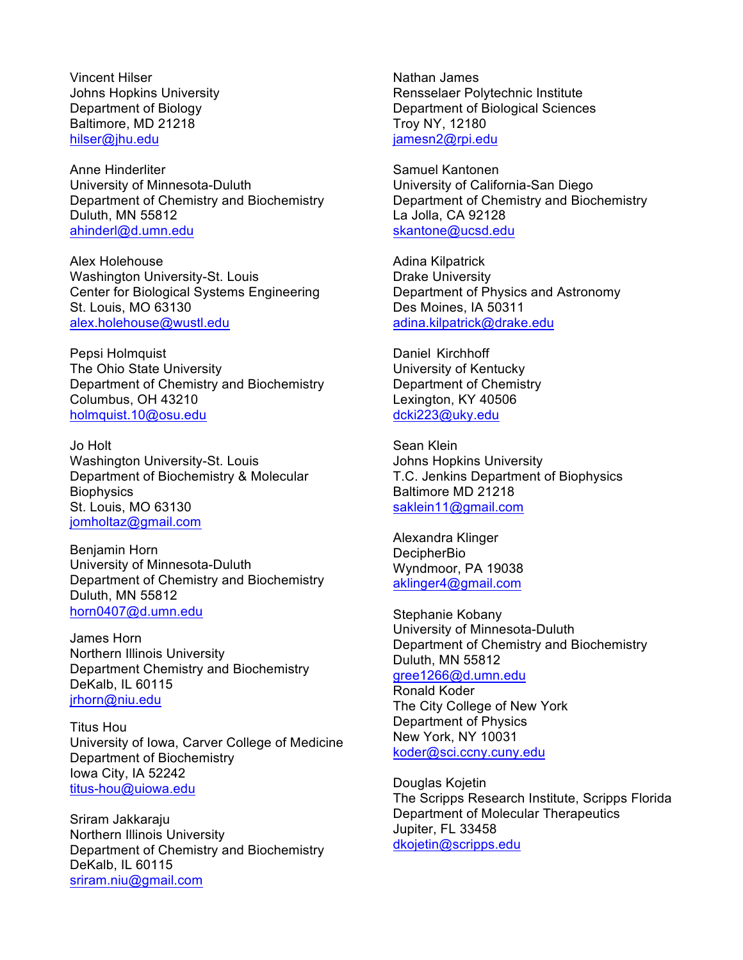Vincent Hilser Johns Hopkins University Department of Biology Baltimore, MD 21218 hilser@jhu.edu

Anne Hinderliter University of Minnesota-Duluth Department of Chemistry and Biochemistry Duluth, MN 55812 ahinderl@d.umn.edu

Alex Holehouse Washington University-St. Louis Center for Biological Systems Engineering St. Louis, MO 63130 alex.holehouse@wustl.edu

Pepsi Holmquist The Ohio State University Department of Chemistry and Biochemistry Columbus, OH 43210 holmquist.10@osu.edu

Jo Holt Washington University-St. Louis Department of Biochemistry & Molecular **Biophysics** St. Louis, MO 63130 jomholtaz@gmail.com

Benjamin Horn University of Minnesota-Duluth Department of Chemistry and Biochemistry Duluth, MN 55812 horn0407@d.umn.edu

James Horn Northern Illinois University Department Chemistry and Biochemistry DeKalb, IL 60115 jrhorn@niu.edu

Titus Hou University of Iowa, Carver College of Medicine Department of Biochemistry Iowa City, IA 52242 titus-hou@uiowa.edu

Sriram Jakkaraju Northern Illinois University Department of Chemistry and Biochemistry DeKalb, IL 60115 sriram.niu@gmail.com

Nathan James Rensselaer Polytechnic Institute Department of Biological Sciences Troy NY, 12180 jamesn2@rpi.edu

Samuel Kantonen University of California-San Diego Department of Chemistry and Biochemistry La Jolla, CA 92128 skantone@ucsd.edu

Adina Kilpatrick Drake University Department of Physics and Astronomy Des Moines, IA 50311 adina.kilpatrick@drake.edu

Daniel Kirchhoff University of Kentucky Department of Chemistry Lexington, KY 40506 dcki223@uky.edu

Sean Klein Johns Hopkins University T.C. Jenkins Department of Biophysics Baltimore MD 21218 saklein11@gmail.com

Alexandra Klinger **DecipherBio** Wyndmoor, PA 19038 aklinger4@gmail.com

Stephanie Kobany University of Minnesota-Duluth Department of Chemistry and Biochemistry Duluth, MN 55812 gree1266@d.umn.edu Ronald Koder

The City College of New York Department of Physics New York, NY 10031 koder@sci.ccny.cuny.edu

Douglas Kojetin The Scripps Research Institute, Scripps Florida Department of Molecular Therapeutics Jupiter, FL 33458 dkojetin@scripps.edu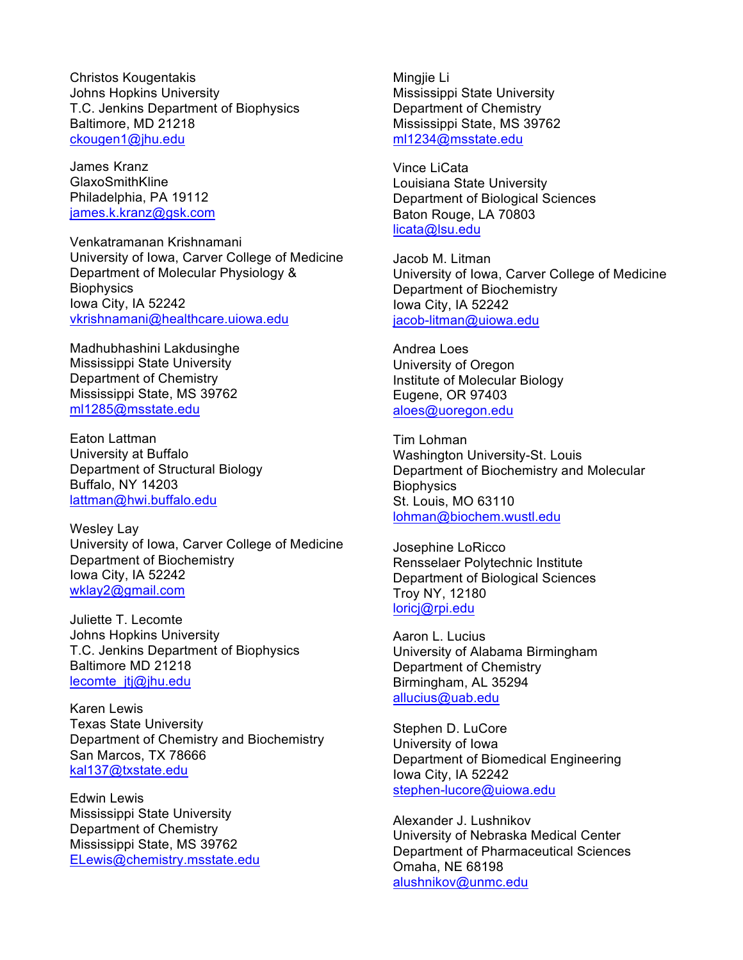Christos Kougentakis Johns Hopkins University T.C. Jenkins Department of Biophysics Baltimore, MD 21218 ckougen1@jhu.edu

James Kranz **GlaxoSmithKline** Philadelphia, PA 19112 james.k.kranz@gsk.com

Venkatramanan Krishnamani University of Iowa, Carver College of Medicine Department of Molecular Physiology & **Biophysics** Iowa City, IA 52242 vkrishnamani@healthcare.uiowa.edu

Madhubhashini Lakdusinghe Mississippi State University Department of Chemistry Mississippi State, MS 39762 ml1285@msstate.edu

Eaton Lattman University at Buffalo Department of Structural Biology Buffalo, NY 14203 lattman@hwi.buffalo.edu

Wesley Lay University of Iowa, Carver College of Medicine Department of Biochemistry Iowa City, IA 52242 wklay2@gmail.com

Juliette T. Lecomte Johns Hopkins University T.C. Jenkins Department of Biophysics Baltimore MD 21218 lecomte\_itj@jhu.edu

Karen Lewis Texas State University Department of Chemistry and Biochemistry San Marcos, TX 78666 kal137@txstate.edu

Edwin Lewis Mississippi State University Department of Chemistry Mississippi State, MS 39762 ELewis@chemistry.msstate.edu Mingjie Li Mississippi State University Department of Chemistry Mississippi State, MS 39762 ml1234@msstate.edu

Vince LiCata Louisiana State University Department of Biological Sciences Baton Rouge, LA 70803 licata@lsu.edu

Jacob M. Litman University of Iowa, Carver College of Medicine Department of Biochemistry Iowa City, IA 52242 jacob-litman@uiowa.edu

Andrea Loes University of Oregon Institute of Molecular Biology Eugene, OR 97403 aloes@uoregon.edu

Tim Lohman Washington University-St. Louis Department of Biochemistry and Molecular **Biophysics** St. Louis, MO 63110 lohman@biochem.wustl.edu

Josephine LoRicco Rensselaer Polytechnic Institute Department of Biological Sciences Troy NY, 12180 loricj@rpi.edu

Aaron L. Lucius University of Alabama Birmingham Department of Chemistry Birmingham, AL 35294 allucius@uab.edu

Stephen D. LuCore University of Iowa Department of Biomedical Engineering Iowa City, IA 52242 stephen-lucore@uiowa.edu

Alexander J. Lushnikov University of Nebraska Medical Center Department of Pharmaceutical Sciences Omaha, NE 68198 alushnikov@unmc.edu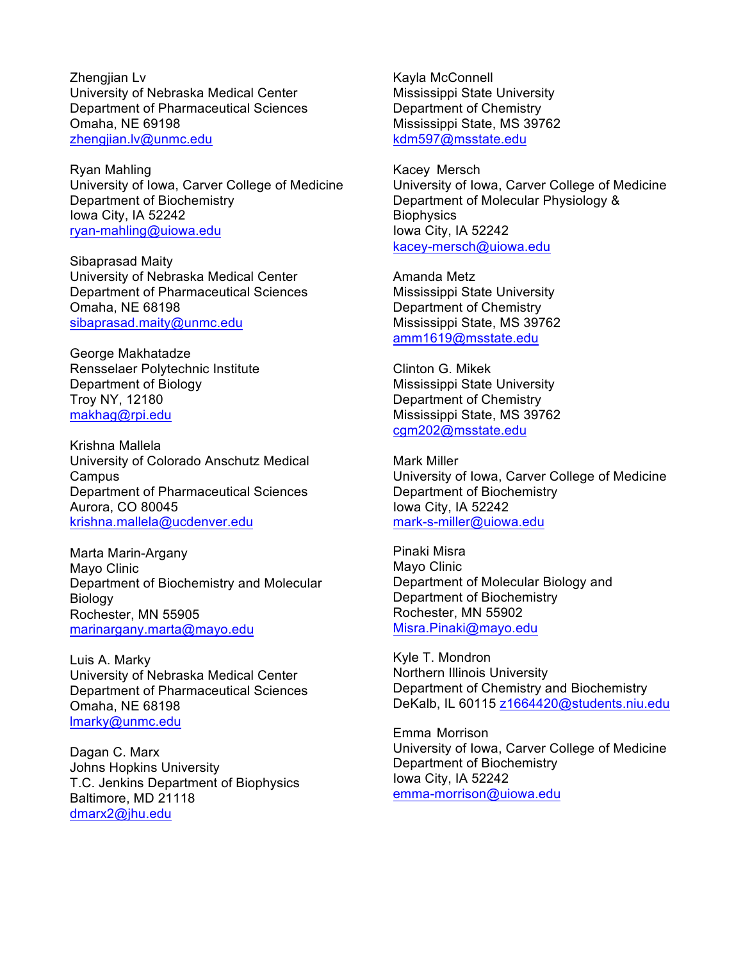Zhengjian Lv University of Nebraska Medical Center Department of Pharmaceutical Sciences Omaha, NE 69198 zhengjian.lv@unmc.edu

Ryan Mahling University of Iowa, Carver College of Medicine Department of Biochemistry Iowa City, IA 52242 ryan-mahling@uiowa.edu

Sibaprasad Maity University of Nebraska Medical Center Department of Pharmaceutical Sciences Omaha, NE 68198 sibaprasad.maity@unmc.edu

George Makhatadze Rensselaer Polytechnic Institute Department of Biology Troy NY, 12180 makhag@rpi.edu

Krishna Mallela University of Colorado Anschutz Medical Campus Department of Pharmaceutical Sciences Aurora, CO 80045 krishna.mallela@ucdenver.edu

Marta Marin-Argany Mayo Clinic Department of Biochemistry and Molecular Biology Rochester, MN 55905 marinargany.marta@mayo.edu

Luis A. Marky University of Nebraska Medical Center Department of Pharmaceutical Sciences Omaha, NE 68198 lmarky@unmc.edu

Dagan C. Marx Johns Hopkins University T.C. Jenkins Department of Biophysics Baltimore, MD 21118 dmarx2@jhu.edu

Kayla McConnell Mississippi State University Department of Chemistry Mississippi State, MS 39762 kdm597@msstate.edu

Kacey Mersch University of Iowa, Carver College of Medicine Department of Molecular Physiology & **Biophysics** Iowa City, IA 52242 kacey-mersch@uiowa.edu

Amanda Metz Mississippi State University Department of Chemistry Mississippi State, MS 39762 amm1619@msstate.edu

Clinton G. Mikek Mississippi State University Department of Chemistry Mississippi State, MS 39762 cgm202@msstate.edu

Mark Miller University of Iowa, Carver College of Medicine Department of Biochemistry Iowa City, IA 52242 mark-s-miller@uiowa.edu

Pinaki Misra Mayo Clinic Department of Molecular Biology and Department of Biochemistry Rochester, MN 55902 Misra.Pinaki@mayo.edu

Kyle T. Mondron Northern Illinois University Department of Chemistry and Biochemistry DeKalb, IL 60115 z1664420@students.niu.edu

Emma Morrison University of Iowa, Carver College of Medicine Department of Biochemistry Iowa City, IA 52242 emma-morrison@uiowa.edu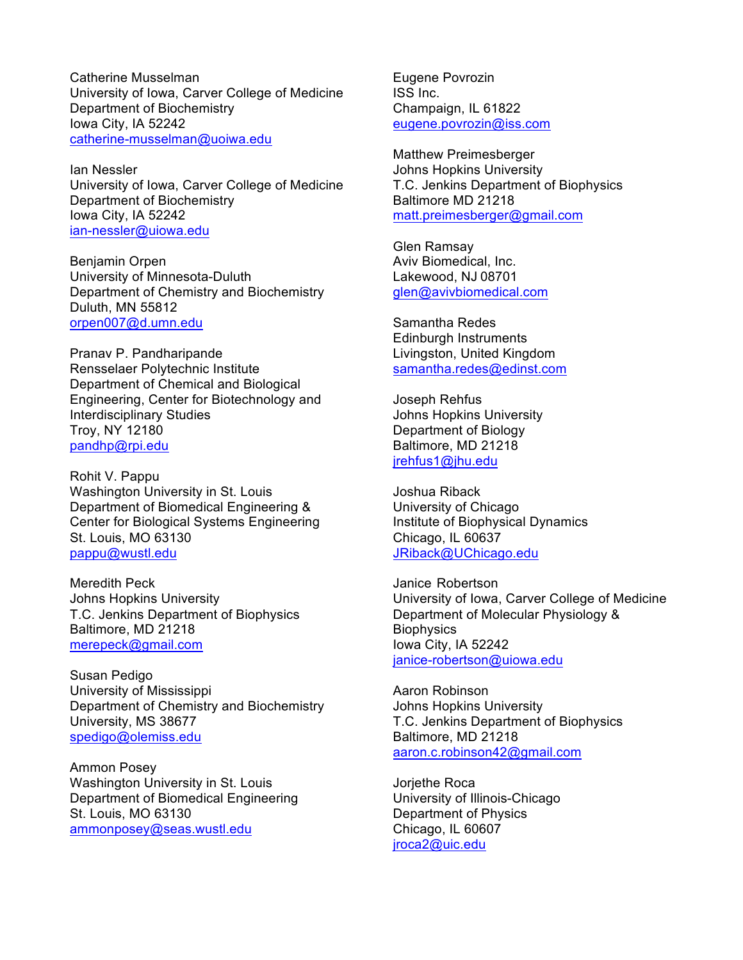Catherine Musselman University of Iowa, Carver College of Medicine Department of Biochemistry Iowa City, IA 52242 catherine-musselman@uoiwa.edu

Ian Nessler University of Iowa, Carver College of Medicine Department of Biochemistry Iowa City, IA 52242 ian-nessler@uiowa.edu

Benjamin Orpen University of Minnesota-Duluth Department of Chemistry and Biochemistry Duluth, MN 55812 orpen007@d.umn.edu

Pranav P. Pandharipande Rensselaer Polytechnic Institute Department of Chemical and Biological Engineering, Center for Biotechnology and Interdisciplinary Studies Troy, NY 12180 pandhp@rpi.edu

Rohit V. Pappu Washington University in St. Louis Department of Biomedical Engineering & Center for Biological Systems Engineering St. Louis, MO 63130 pappu@wustl.edu

Meredith Peck Johns Hopkins University T.C. Jenkins Department of Biophysics Baltimore, MD 21218 merepeck@gmail.com

Susan Pedigo University of Mississippi Department of Chemistry and Biochemistry University, MS 38677 spedigo@olemiss.edu

Ammon Posey Washington University in St. Louis Department of Biomedical Engineering St. Louis, MO 63130 ammonposey@seas.wustl.edu

Eugene Povrozin ISS Inc. Champaign, IL 61822 eugene.povrozin@iss.com

Matthew Preimesberger Johns Hopkins University T.C. Jenkins Department of Biophysics Baltimore MD 21218 matt.preimesberger@gmail.com

Glen Ramsay Aviv Biomedical, Inc. Lakewood, NJ 08701 glen@avivbiomedical.com

Samantha Redes Edinburgh Instruments Livingston, United Kingdom samantha.redes@edinst.com

Joseph Rehfus Johns Hopkins University Department of Biology Baltimore, MD 21218 jrehfus1@jhu.edu

Joshua Riback University of Chicago Institute of Biophysical Dynamics Chicago, IL 60637 JRiback@UChicago.edu

Janice Robertson University of Iowa, Carver College of Medicine Department of Molecular Physiology & **Biophysics** Iowa City, IA 52242 janice-robertson@uiowa.edu

Aaron Robinson Johns Hopkins University T.C. Jenkins Department of Biophysics Baltimore, MD 21218 aaron.c.robinson42@gmail.com

Jorjethe Roca University of Illinois-Chicago Department of Physics Chicago, IL 60607 jroca2@uic.edu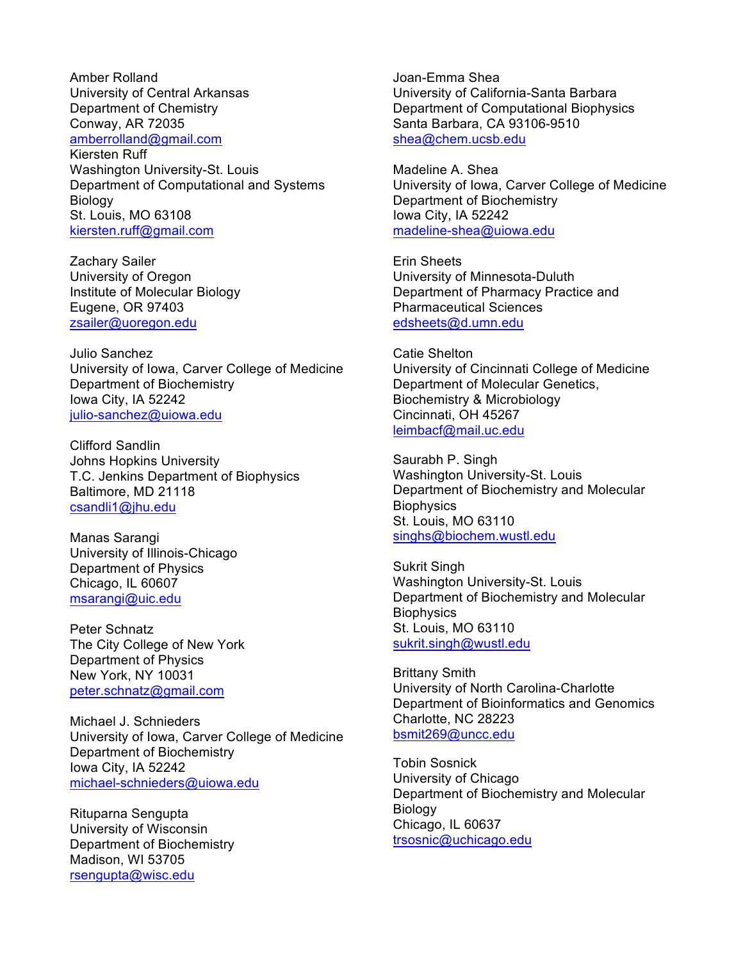Amber Rolland University of Central Arkansas Department of Chemistry Conway, AR 72035 amberrolland@gmail.com Kiersten Ruff Washington University-St. Louis Department of Computational and Systems Biology St. Louis, MO 63108 kiersten.ruff@gmail.com

Zachary Sailer University of Oregon Institute of Molecular Biology Eugene, OR 97403 zsailer@uoregon.edu

Julio Sanchez University of Iowa, Carver College of Medicine Department of Biochemistry Iowa City, IA 52242 julio-sanchez@uiowa.edu

Clifford Sandlin Johns Hopkins University T.C. Jenkins Department of Biophysics Baltimore, MD 21118 csandli1@jhu.edu

Manas Sarangi University of Illinois-Chicago Department of Physics Chicago, IL 60607 msarangi@uic.edu

Peter Schnatz The City College of New York Department of Physics New York, NY 10031 peter.schnatz@gmail.com

Michael J. Schnieders University of Iowa, Carver College of Medicine Department of Biochemistry Iowa City, IA 52242 michael-schnieders@uiowa.edu

Rituparna Sengupta University of Wisconsin Department of Biochemistry Madison, WI 53705 rsengupta@wisc.edu

Joan-Emma Shea University of California-Santa Barbara Department of Computational Biophysics Santa Barbara, CA 93106-9510 shea@chem.ucsb.edu

Madeline A. Shea University of Iowa, Carver College of Medicine Department of Biochemistry Iowa City, IA 52242 madeline-shea@uiowa.edu

Erin Sheets University of Minnesota-Duluth Department of Pharmacy Practice and Pharmaceutical Sciences edsheets@d.umn.edu

Catie Shelton University of Cincinnati College of Medicine Department of Molecular Genetics, Biochemistry & Microbiology Cincinnati, OH 45267 leimbacf@mail.uc.edu

Saurabh P. Singh Washington University-St. Louis Department of Biochemistry and Molecular **Biophysics** St. Louis, MO 63110 singhs@biochem.wustl.edu

Sukrit Singh Washington University-St. Louis Department of Biochemistry and Molecular **Biophysics** St. Louis, MO 63110 sukrit.singh@wustl.edu

Brittany Smith University of North Carolina-Charlotte Department of Bioinformatics and Genomics Charlotte, NC 28223 bsmit269@uncc.edu

Tobin Sosnick University of Chicago Department of Biochemistry and Molecular Biology Chicago, IL 60637 trsosnic@uchicago.edu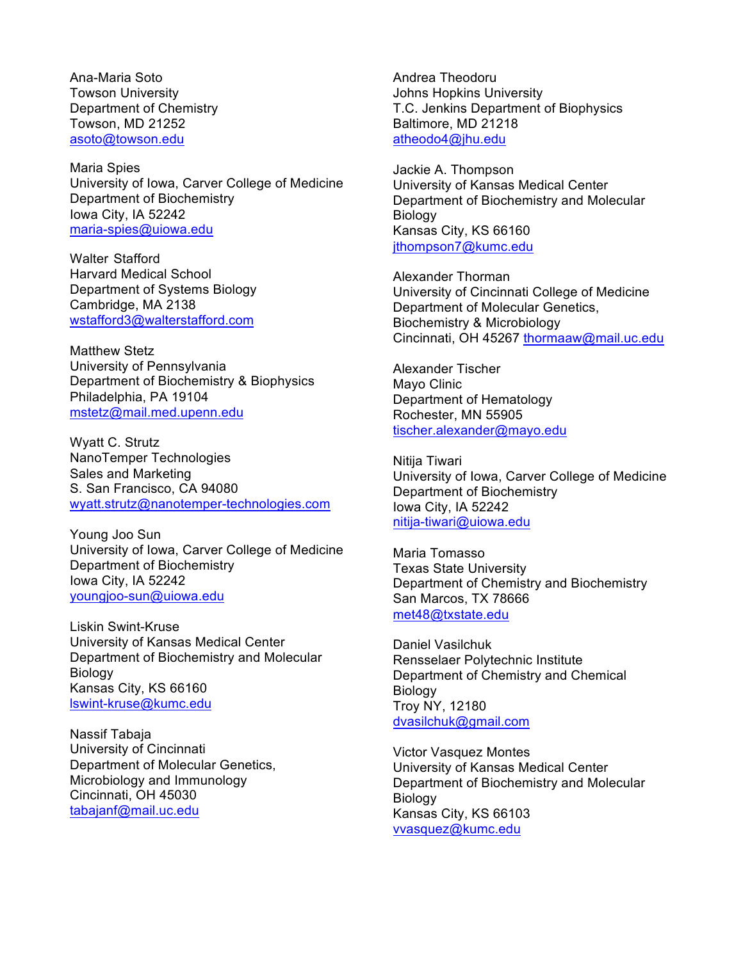Ana-Maria Soto Towson University Department of Chemistry Towson, MD 21252 asoto@towson.edu

Maria Spies University of Iowa, Carver College of Medicine Department of Biochemistry Iowa City, IA 52242 maria-spies@uiowa.edu

Walter Stafford Harvard Medical School Department of Systems Biology Cambridge, MA 2138 wstafford3@walterstafford.com

Matthew Stetz University of Pennsylvania Department of Biochemistry & Biophysics Philadelphia, PA 19104 mstetz@mail.med.upenn.edu

Wyatt C. Strutz NanoTemper Technologies Sales and Marketing S. San Francisco, CA 94080 wyatt.strutz@nanotemper-technologies.com

Young Joo Sun University of Iowa, Carver College of Medicine Department of Biochemistry Iowa City, IA 52242 youngjoo-sun@uiowa.edu

Liskin Swint-Kruse University of Kansas Medical Center Department of Biochemistry and Molecular Biology Kansas City, KS 66160 lswint-kruse@kumc.edu

Nassif Tabaja University of Cincinnati Department of Molecular Genetics, Microbiology and Immunology Cincinnati, OH 45030 tabajanf@mail.uc.edu

Andrea Theodoru Johns Hopkins University T.C. Jenkins Department of Biophysics Baltimore, MD 21218 atheodo4@jhu.edu

Jackie A. Thompson University of Kansas Medical Center Department of Biochemistry and Molecular Biology Kansas City, KS 66160 jthompson7@kumc.edu

Alexander Thorman University of Cincinnati College of Medicine Department of Molecular Genetics, Biochemistry & Microbiology Cincinnati, OH 45267 thormaaw@mail.uc.edu

Alexander Tischer Mayo Clinic Department of Hematology Rochester, MN 55905 tischer.alexander@mayo.edu

Nitija Tiwari University of Iowa, Carver College of Medicine Department of Biochemistry Iowa City, IA 52242 nitija-tiwari@uiowa.edu

Maria Tomasso Texas State University Department of Chemistry and Biochemistry San Marcos, TX 78666 met48@txstate.edu

Daniel Vasilchuk Rensselaer Polytechnic Institute Department of Chemistry and Chemical Biology Troy NY, 12180 dvasilchuk@gmail.com

Victor Vasquez Montes University of Kansas Medical Center Department of Biochemistry and Molecular Biology Kansas City, KS 66103 vvasquez@kumc.edu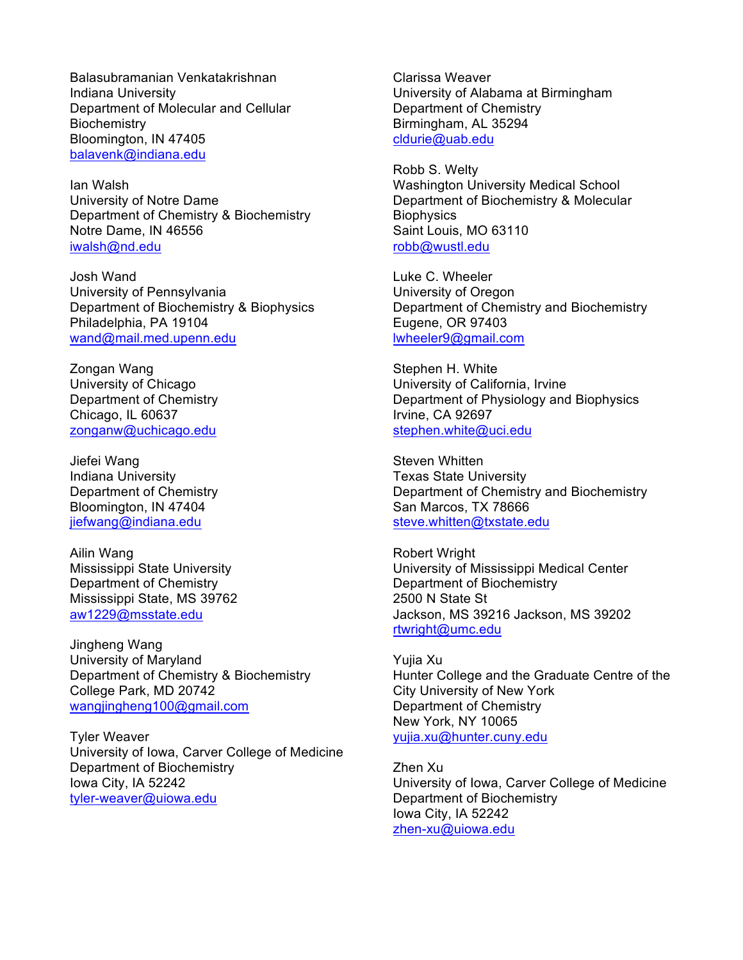Balasubramanian Venkatakrishnan Indiana University Department of Molecular and Cellular **Biochemistry** Bloomington, IN 47405 balavenk@indiana.edu

Ian Walsh University of Notre Dame Department of Chemistry & Biochemistry Notre Dame, IN 46556 iwalsh@nd.edu

Josh Wand University of Pennsylvania Department of Biochemistry & Biophysics Philadelphia, PA 19104 wand@mail.med.upenn.edu

Zongan Wang University of Chicago Department of Chemistry Chicago, IL 60637 zonganw@uchicago.edu

Jiefei Wang Indiana University Department of Chemistry Bloomington, IN 47404 jiefwang@indiana.edu

Ailin Wang Mississippi State University Department of Chemistry Mississippi State, MS 39762 aw1229@msstate.edu

Jingheng Wang University of Maryland Department of Chemistry & Biochemistry College Park, MD 20742 wangjingheng100@gmail.com

Tyler Weaver University of Iowa, Carver College of Medicine Department of Biochemistry Iowa City, IA 52242 tyler-weaver@uiowa.edu

Clarissa Weaver University of Alabama at Birmingham Department of Chemistry Birmingham, AL 35294 cldurie@uab.edu

Robb S. Welty Washington University Medical School Department of Biochemistry & Molecular **Biophysics** Saint Louis, MO 63110 robb@wustl.edu

Luke C. Wheeler University of Oregon Department of Chemistry and Biochemistry Eugene, OR 97403 lwheeler9@gmail.com

Stephen H. White University of California, Irvine Department of Physiology and Biophysics Irvine, CA 92697 stephen.white@uci.edu

Steven Whitten Texas State University Department of Chemistry and Biochemistry San Marcos, TX 78666 steve.whitten@txstate.edu

Robert Wright University of Mississippi Medical Center Department of Biochemistry 2500 N State St Jackson, MS 39216 Jackson, MS 39202 rtwright@umc.edu

Yujia Xu Hunter College and the Graduate Centre of the City University of New York Department of Chemistry New York, NY 10065 yujia.xu@hunter.cuny.edu

Zhen Xu University of Iowa, Carver College of Medicine Department of Biochemistry Iowa City, IA 52242 zhen-xu@uiowa.edu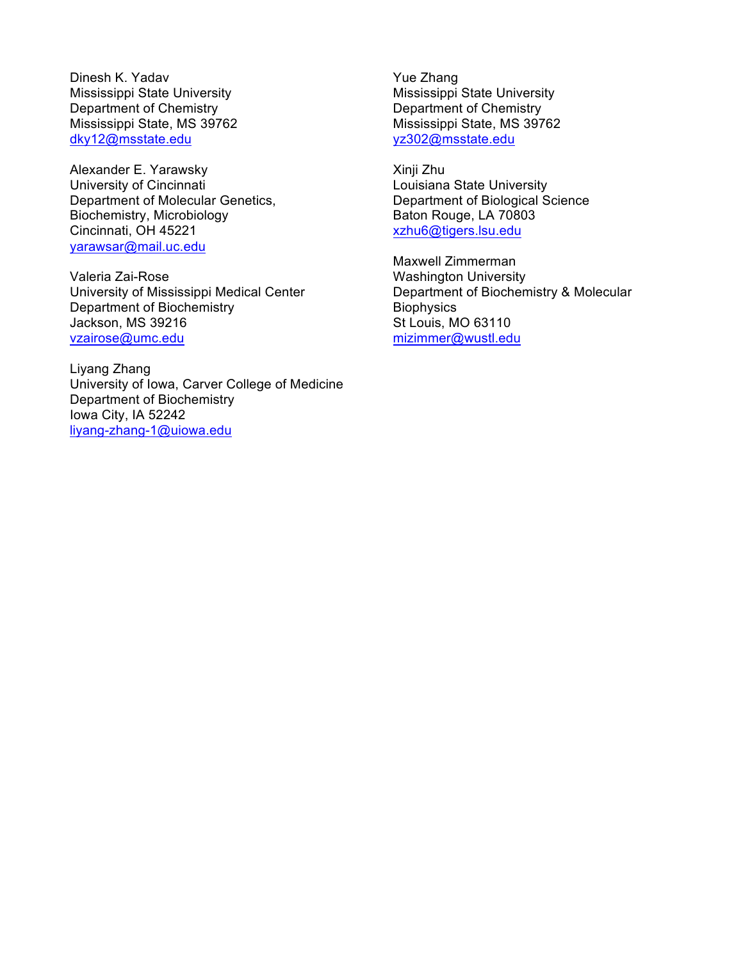Dinesh K. Yadav Mississippi State University Department of Chemistry Mississippi State, MS 39762 dky12@msstate.edu

Alexander E. Yarawsky University of Cincinnati Department of Molecular Genetics, Biochemistry, Microbiology Cincinnati, OH 45221 yarawsar@mail.uc.edu

Valeria Zai-Rose University of Mississippi Medical Center Department of Biochemistry Jackson, MS 39216 vzairose@umc.edu

Liyang Zhang University of Iowa, Carver College of Medicine Department of Biochemistry Iowa City, IA 52242 liyang-zhang-1@uiowa.edu

Yue Zhang Mississippi State University Department of Chemistry Mississippi State, MS 39762 yz302@msstate.edu

Xinji Zhu Louisiana State University Department of Biological Science Baton Rouge, LA 70803 xzhu6@tigers.lsu.edu

Maxwell Zimmerman Washington University Department of Biochemistry & Molecular **Biophysics** St Louis, MO 63110 mizimmer@wustl.edu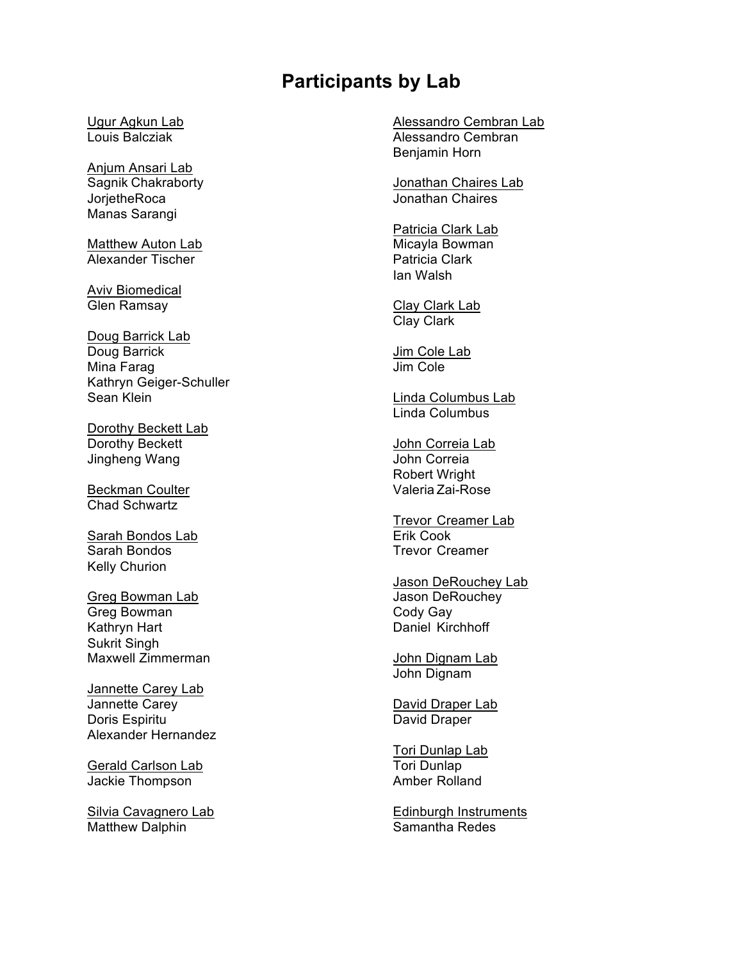## **Participants by Lab**

Ugur Agkun Lab Louis Balcziak

Anjum Ansari Lab Sagnik Chakraborty **JorjetheRoca** Manas Sarangi

**Matthew Auton Lab** Alexander Tischer

Aviv Biomedical Glen Ramsay

Doug Barrick Lab Doug Barrick Mina Farag Kathryn Geiger-Schuller Sean Klein

Dorothy Beckett Lab Dorothy Beckett Jingheng Wang

Beckman Coulter Chad Schwartz

Sarah Bondos Lab Sarah Bondos Kelly Churion

Greg Bowman Lab Greg Bowman Kathryn Hart Sukrit Singh Maxwell Zimmerman

Jannette Carey Lab Jannette Carey Doris Espiritu Alexander Hernandez

Gerald Carlson Lab Jackie Thompson

Silvia Cavagnero Lab Matthew Dalphin

Alessandro Cembran Lab Alessandro Cembran Benjamin Horn

Jonathan Chaires Lab Jonathan Chaires

Patricia Clark Lab Micayla Bowman Patricia Clark Ian Walsh

Clay Clark Lab Clay Clark

Jim Cole Lab Jim Cole

Linda Columbus Lab Linda Columbus

John Correia Lab John Correia Robert Wright Valeria Zai-Rose

Trevor Creamer Lab Erik Cook Trevor Creamer

Jason DeRouchey Lab Jason DeRouchey Cody Gay Daniel Kirchhoff

John Dignam Lab John Dignam

David Draper Lab David Draper

Tori Dunlap Lab Tori Dunlap Amber Rolland

Edinburgh Instruments Samantha Redes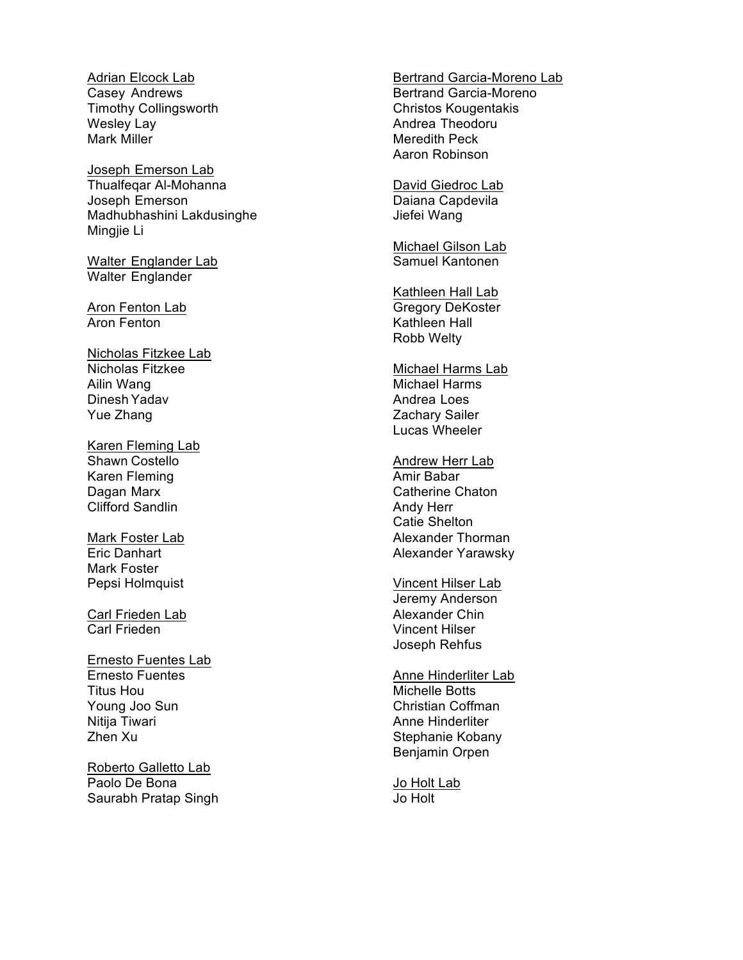Adrian Elcock Lab Casey Andrews Timothy Collingsworth Wesley Lay Mark Miller

Joseph Emerson Lab Thualfeqar Al -Mohanna Joseph Emerson Madhubhashini Lakdusinghe Mingjie Li

Walter Englander Lab Walter Englander

Aron Fenton Lab Aron Fenton

Nicholas Fitzkee Lab Nicholas Fitzkee Ailin Wang Dinesh Yadav Yue Zhang

Karen Fleming Lab Shawn Costello Karen Fleming Dagan Marx Clifford Sandlin

Mark Foster Lab Eric Danhart Mark Foster Pepsi Holmquist

Carl Frieden Lab Carl Frieden

Ernesto Fuentes Lab Ernesto Fuentes Titus Hou Young Joo Sun Nitija Tiwari Zhen Xu

Roberto Galletto Lab Paolo De Bona Saurabh Pratap Singh Bertrand Garcia -Moreno Lab Bertrand Garcia -Moreno Christos Kougentakis Andrea Theodoru Meredith Peck Aaron Robinson

David Giedroc Lab Daiana Capdevila Jiefei Wang

Michael Gilson Lab Samuel Kantonen

Kathleen Hall Lab Gregory DeKoster Kathleen Hall Robb Welty

Michael Harms Lab Michael Harms Andrea Loes Zachary Sailer Lucas Wheeler

Andrew Herr Lab Amir Babar Catherine Chaton Andy Herr Catie Shelton Alexander Thorman Alexander Yarawsky

Vincent Hilser Lab Jeremy Anderson Alexander Chin Vincent Hilser Joseph Rehfus

Anne Hinderliter Lab Michelle Botts Christian Coffman Anne Hinderliter Stephanie Kobany Benjamin Orpen

Jo Holt Lab Jo Holt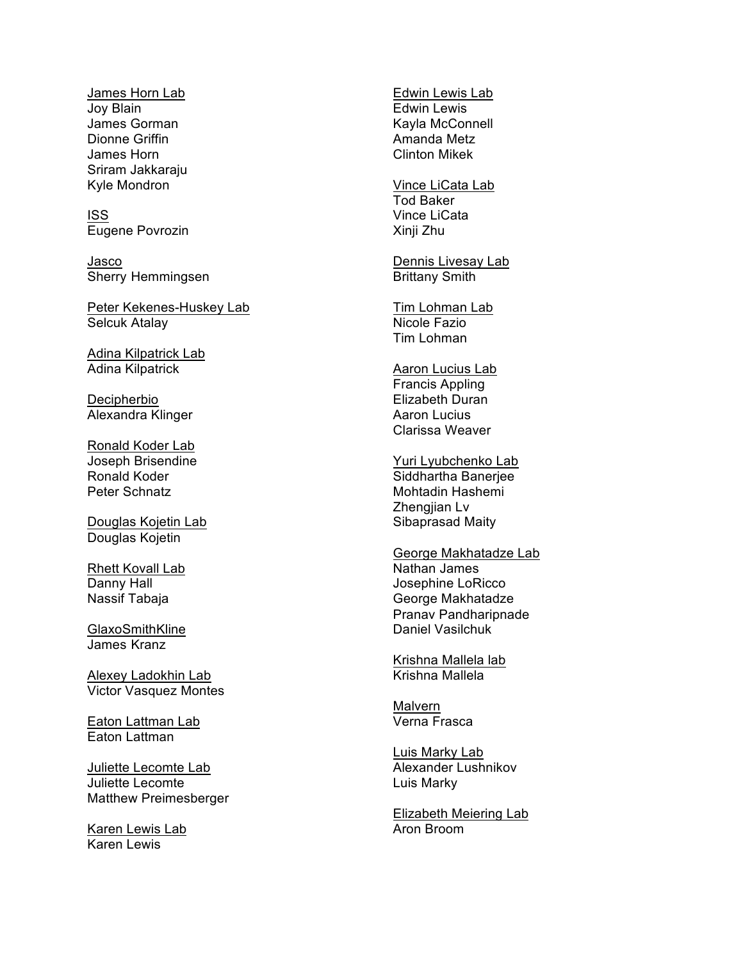James Horn Lab Joy Blain James Gorman Dionne Griffin James Horn Sriram Jakkaraju Kyle Mondron

ISS Eugene Povrozin

Jasco Sherry Hemmingsen

Peter Kekenes-Huskey Lab Selcuk Atalay

Adina Kilpatrick Lab Adina Kilpatrick

Decipherbio Alexandra Klinger

Ronald Koder Lab Joseph Brisendine Ronald Koder Peter Schnatz

Douglas Kojetin Lab Douglas Kojetin

Rhett Kovall Lab Danny Hall Nassif Tabaja

GlaxoSmithKline James Kranz

Alexey Ladokhin Lab Victor Vasquez Montes

Eaton Lattman La b Eaton Lattman

Juliette Lecomte Lab Juliette Lecomte Matthew Preimesberger

Karen Lewis Lab Karen Lewis

Edwin Lewis Lab Edwin Lewis Kayla McConnell Amanda Metz Clinton Mikek

Vince LiCata Lab Tod Baker Vince LiCata Xinji Zhu

Dennis Livesay Lab Brittany Smith

Tim Lohman Lab Nicole Fazio Tim Lohman

Aaron Lucius Lab Francis Appling Elizabeth Duran Aaron Lucius Clarissa Weaver

Yuri Lyubchenko Lab Siddhartha Banerjee Mohtadin Hashemi Zhengjian Lv Sibaprasad Maity

George Makhatadze Lab Nathan James Josephine LoRicco George Makhatadze Pranav Pandharipnade Daniel Vasilchuk

Krishna Mallela lab Krishna Mallela

Malvern Verna Frasca

Luis Marky Lab Alexander Lushnikov Luis Marky

Elizabeth Meiering Lab Aron Broom